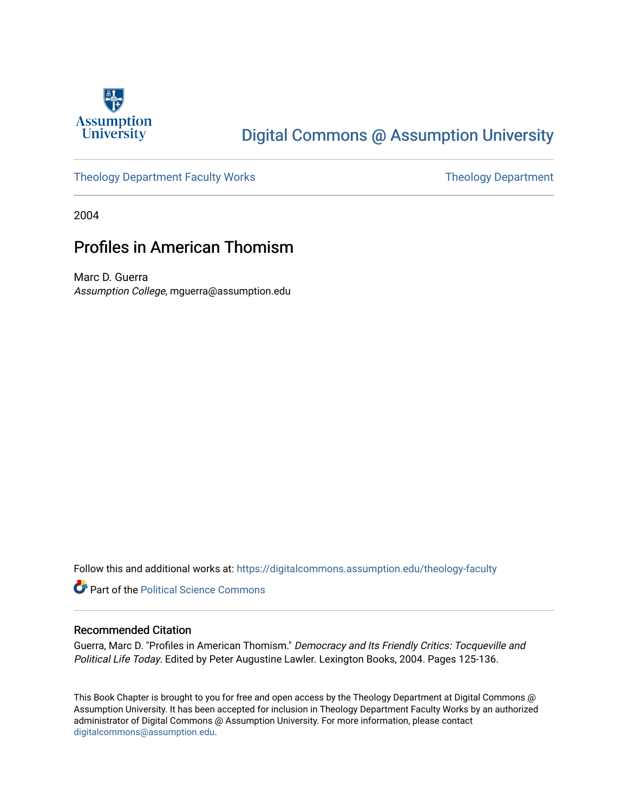

# [Digital Commons @ Assumption University](https://digitalcommons.assumption.edu/)

## [Theology Department Faculty Works](https://digitalcommons.assumption.edu/theology-faculty) Theology Department

2004

## Profiles in American Thomism

Marc D. Guerra Assumption College, mguerra@assumption.edu

Follow this and additional works at: [https://digitalcommons.assumption.edu/theology-faculty](https://digitalcommons.assumption.edu/theology-faculty?utm_source=digitalcommons.assumption.edu%2Ftheology-faculty%2F10&utm_medium=PDF&utm_campaign=PDFCoverPages) 

**Part of the Political Science Commons** 

### Recommended Citation

Guerra, Marc D. "Profiles in American Thomism." Democracy and Its Friendly Critics: Tocqueville and Political Life Today. Edited by Peter Augustine Lawler. Lexington Books, 2004. Pages 125-136.

This Book Chapter is brought to you for free and open access by the Theology Department at Digital Commons @ Assumption University. It has been accepted for inclusion in Theology Department Faculty Works by an authorized administrator of Digital Commons @ Assumption University. For more information, please contact [digitalcommons@assumption.edu](mailto:digitalcommons@assumption.edu).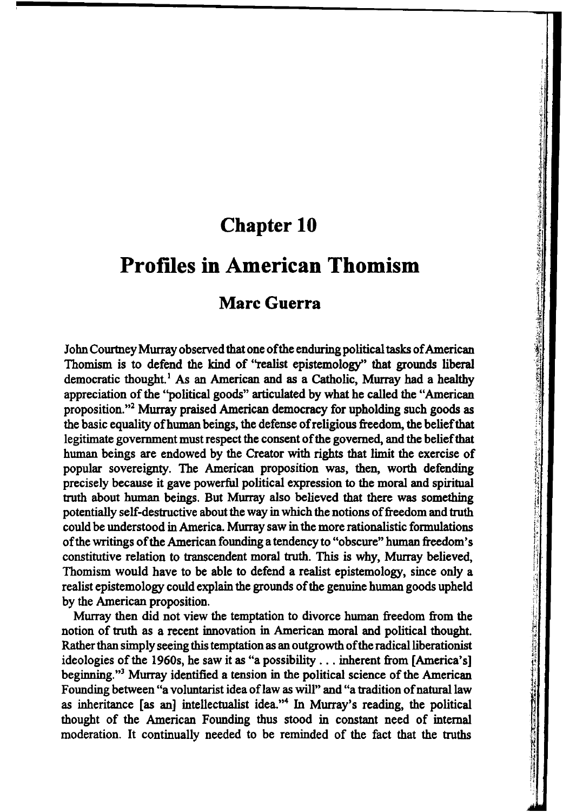## **Chapter 10**

I:

## **Prof1les in American Thomism**

## **Marc Guerra**

John Courtney Murray observed that one of the enduring political tasks of American Thomism is to defend the kind of "realist epistemology'' that grounds liberal democratic thought.<sup>1</sup> As an American and as a Catholic, Murray had a healthy appreciation of the ''political goods" articulated by what he called the "American proposition. "2 Murray praised American democracy for upholding such goods as the basic equality ofhuman beings, the defense of religious freedom, the belief that legitimate government must respect the consent of the governed, and the belief that human beings are endowed by the Creator with rights that limit the exercise of popular sovereignty. The American proposition was, then, worth defending precisely because it gave powerful political expression to the moral and spiritual truth about human beings. But Murray also believed that there was something potentially self-destructive about the way in which the notions of freedom and truth could be understood in America. Murray saw in the more rationalistic formulations of the writings of the American founding a tendency to "obscure" human freedom's constitutive relation to transcendent moral truth. This is why, Murray believed, Thomism would have to be able to defend a realist epistemology, since only a realist epistemology could explain the grounds of the genuine human goods upheld by the American proposition.

Murray then did not view the temptation to divorce human freedom from the notion of truth as a recent innovation in American moral and political thought. Rather than simply seeing this temptation as an outgrowth of the radical liberationist ideologies of the 1960s, he saw it as "a possibility ... inherent from [America's] beginning."3 Murray identified a tension in the political science of the American Founding between "a voluntarist idea oflaw as will" and "a tradition of natural law as inheritance [as an] intellectualist idea."4 In Murray's reading, the political thought of the American Founding thus stood in constant need of internal moderation. It continually needed to be reminded of the fact that the truths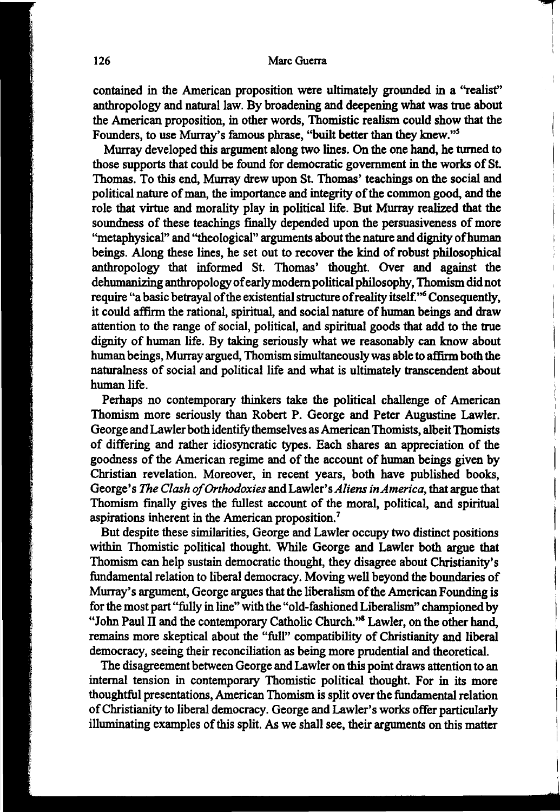II.  $\mathbf{I}$ I I

contained in the American proposition were ultimately grounded in a "realist" anthropology and natural law. By broadening and deepening what was true about the American proposition, in other words, Thomistic realism could show that the Founders, to use Murray's famous phrase, "built better than they knew."5

Murray developed this argument along two lines. On the one hand, he turned to those supports that could be found for democratic government in the works of St. Thomas. To this end, Murray drew upon St. Thomas' teachings on the social and political nature of man, the importance and integrity of the common good, and the role that virtue and morality play in political life. But Murray realized that the soundness of these teachings finally depended upon the persuasiveness of more ''metaphysical" and ''theological" arguments about the nature and dignity ofhuman beings. Along these lines, he set out to recover the kind of robust philosophical anthropology that informed St. Thomas' thought. Over and against the dehumanizing anthropology of early modem political philosophy, Thomism did not require "a basic betrayal of the existential structure of reality itself.''6 Consequently, it could affirm the rational, spiritual, and social nature of human beings and draw attention to the range of social, political, and spiritual goods that add to the true dignity of human life. By taking seriously what we reasonably can know about human beings, Murray argued, Thomism simultaneously was able to affirm both the naturalness of social and political life and what is ultimately transcendent about human life.

Perhaps no contemporary thinkers take the political challenge of American Thomism more seriously than Robert P. George and Peter Augustine Lawler. George and Lawler both identify themselves as American Thomists, albeit Thomists of differing and rather idiosyncratic types. Each shares an appreciation of the goodness of the American regime and of the account of human beings given by Christian revelation. Moreover, in recent years, both have published books, George's *The Clash of Orthodoxies* and Lawler's *Aliens in America,* that argue that Thomism finally gives the fullest account of the moral, political, and spiritual aspirations inherent in the American proposition.7

But despite these similarities, George and Lawler occupy two distinct positions within Thomistic political thought. While George and Lawler both argue that Thomism can help sustain democratic thought, they disagree about Christianity's fundamental relation to liberal democracy. Moving well beyond the boundaries of Murray's argument, George argues that the liberalism of the American Founding is for the most part "fully in line" with the "old-fashioned Liberalism" championed by "John Paul II and the contemporary Catholic Church."8 Lawler, on the other hand, remains more skeptical about the "full" compatibility of Christianity and liberal democracy, seeing their reconciliation as being more prudential and theoretical.

The disagreement between George and Lawler on this point draws attention to an internal tension in contemporary Thomistic political thought. For in its more thoughtful presentations, American Thomism is split over the fundamental relation of Christianity to liberal democracy. George and Lawler's works offer particularly illuminating examples of this split. As we shall see, their arguments on this matter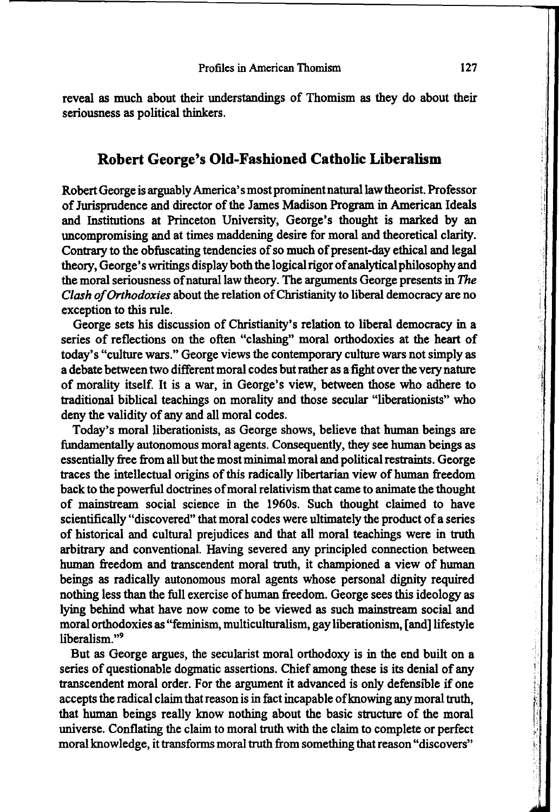reveal as much about their understandings of Thomism as they do about their seriousness as political thinkers.

### **Robert George's Old-Fashioned Catholic Liberalism**

Robert George is arguably America's most prominent natural law theorist. Professor of Jurisprudence and director of the James Madison Program in American Ideals and Institutions at Princeton University, George's thought is marked by an uncompromising and at times maddening desire for moral and theoretical clarity. Contrary to the obfuscating tendencies of so much of present-day ethical and legal theory, George's writings display both the logical rigor of analytical philosophy and the moral seriousness of natural law theory. The arguments George presents in *The Clash of Orthodoxies* about the relation of Christianity to liberal democracy are no exception to this rule.

George sets his discussion of Christianity's relation to liberal democracy in a series of reflections on the often "clashing" moral orthodoxies at the heart of today's "culture wars." George views the contemporary culture wars not simply as a debate between two different moral codes but rather as a fight over the very nature of morality itself. It is a war, in George's view, between those who adhere to traditional biblical teachings on morality and those secular "liberationists" who deny the validity of any and all moral codes.

Today's moral liberationists, as George shows, believe that human beings are fundamentally autonomous moral agents. Consequently, they see human beings as essentially free from all but the most minimal moral and political restraints. George traces the intellectual origins of this radically libertarian view of human freedom back to the powerful doctrines of moral relativism that came to animate the thought of mainstream social science in the 1960s. Such thought claimed to have scientifically "discovered" that moral codes were ultimately the product of a series of historical and cultural prejudices and that all moral teachings were in truth arbitrary and conventional. Having severed any principled connection between human freedom and transcendent moral truth, it championed a view of human beings as radically autonomous moral agents whose personal dignity required nothing less than the full exercise of human freedom. George sees this ideology as lying behind what have now come to be viewed as such mainstream social and moral orthodoxies as "feminism, multiculturalism, gay liberationism, [and] lifestyle liberalism."<sup>9</sup>

But as George argues, the secularist moral orthodoxy is in the end built on a series of questionable dogmatic assertions. Chief among these is its denial of any transcendent moral order. For the argument it advanced is only defensible if one accepts the radical claim that reason is in fact incapable ofknowing any moral truth, that human beings really know nothing about the basic structure of the moral universe. Conflating the claim to moral truth with the claim to complete or perfect moral knowledge, it transforms moral truth from something that reason "discovers"

'I·

' "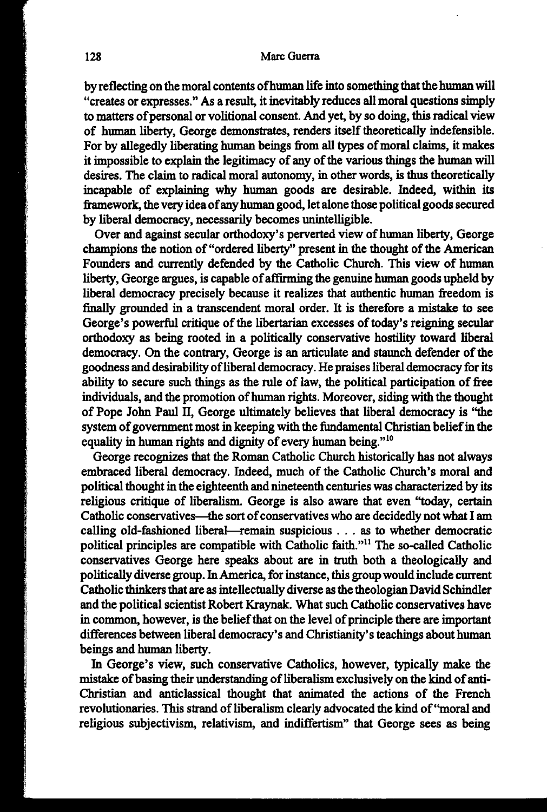by reflecting on the moral contents of human life into something that the human will "creates or expresses." As a result, it inevitably reduces all moral questions simply to matters of personal or volitional consent. And yet, by so doing, this radical view of human liberty, George demonstrates, renders itself theoretically indefensible. For by allegedly liberating human beings from all types of moral claims, it makes it impossible to explain the legitimacy of any of the various things the human will desires. The claim to radical moral autonomy, in other words, is thus theoretically incapable of explaining why human goods are desirable. Indeed, within its framework, the very idea of any human good, let alone those political goods secured by liberal democracy, necessarily becomes unintelligible.

Over and against secular orthodoxy's perverted view of human liberty, George champions the notion of "ordered liberty" present in the thought of the American Founders and currently defended by the Catholic Church. This view of human liberty, George argues, is capable of affirming the genuine human goods upheld by liberal democracy precisely because it realizes that authentic human freedom is finally grounded in a transcendent moral order. It is therefore a mistake to see George's powerful critique of the libertarian excesses of today's reigning secular orthodoxy as being rooted in a politically conservative hostility toward liberal democracy. On the contrary, George is an articulate and staunch defender of the goodness and desirability of liberal democracy. He praises liberal democracy for its ability to secure such things as the rule of law, the political participation of free individuals, and the promotion of human rights. Moreover, siding with the thought of Pope John Paul II, George ultimately believes that liberal democracy is "the system of government most in keeping with the fundamental Christian belief in the equality in human rights and dignity of every human being."<sup>10</sup>

George recognizes that the Roman Catholic Church historically has not always embraced liberal democracy. Indeed, much of the Catholic Church's moral and political thought in the eighteenth and nineteenth centuries was characterized by its religious critique of liberalism. George is also aware that even ''today, certain Catholic conservatives-the sort of conservatives who are decidedly not what I am calling old-fashioned liberal—remain suspicious . . . as to whether democratic political principles are compatible with Catholic faith."<sup>11</sup> The so-called Catholic conservatives George here speaks about are in truth both a theologically and politically diverse group. In America, for instance, this group would include current Catholic thinkers that are as intellectually diverse as the theologian David Schindler and the political scientist Robert Kraynak. What such Catholic conservatives have in common, however, is the belief that on the level of principle there are important differences between liberal democracy's and Christianity's teachings about human beings and human liberty.

In George's view, such conservative Catholics, however, typically make the mistake of basing their understanding of liberalism exclusively on the kind of anti-Christian and anticlassical thought that animated the actions of the French revolutionaries. This strand of liberalism clearly advocated the kind of ''moral and religious subjectivism, relativism, and indiffertism" that George sees as being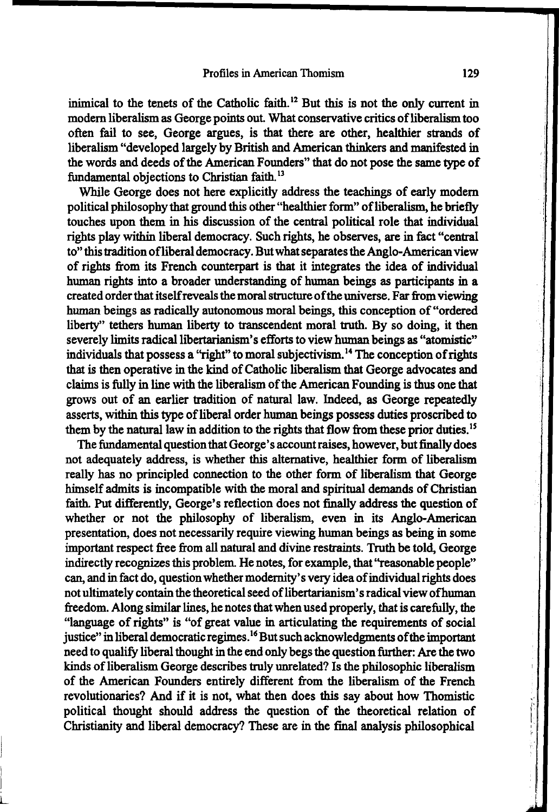inimical to the tenets of the Catholic faith. 12 But this is not the only current in modern liberalism as George points out. What conservative critics of liberalism too often fail to see, George argues, is that there are other, healthier strands of liberalism "developed largely by British and American thinkers and manifested in the words and deeds of the American Founders" that do not pose the same type of fundamental objections to Christian faith. 13

While George does not here explicitly address the teachings of early modem political philosophy that ground this other "healthier form" of liberalism, he briefly touches upon them in his discussion of the central political role that individual rights play within liberal democracy. Such rights, he observes, are in fact "central to" this tradition of liberal democracy. But what separates the Anglo-American view of rights from its French counterpart is that it integrates the idea of individual human rights into a broader understanding of human beings as participants in a created order that itself reveals the moral structure of the universe. Far from viewing human beings as radically autonomous moral beings, this conception of "ordered liberty" tethers human liberty to transcendent moral truth. By so doing, it then severely limits radical libertarianism's efforts to view human beings as "atomistic" individuals that possess a "right" to moral subjectivism.<sup>14</sup> The conception of rights that is then operative in the kind of Catholic liberalism that George advocates and claims is fully in line with the liberalism of the American Founding is thus one that grows out of an earlier tradition of natural law. Indeed, as George repeatedly asserts, within this type of liberal order human beings possess duties proscribed to them by the natural law in addition to the rights that flow from these prior duties.15

The fundamental question that George's account raises, however, but finally does not adequately address, is whether this alternative, healthier form of liberalism really has no principled connection to the other form of liberalism that George himself admits is incompatible with the moral and spiritual demands of Christian faith. Put differently, George's reflection does not finally address the question of whether or not the philosophy of liberalism, even in its Anglo-American presentation, does not necessarily require viewing human beings as being in some important respect free from all natural and divine restraints. Truth be told, George indirectly recognizes this problem. He notes, for example, that ''reasonable people" can, and in fact do, question whether modernity's very idea of individual rights does not ultimately contain the theoretical seed of libertarianism's radical view of human freedom. Along similar lines, he notes that when used properly, that is carefully, the "language of rights" is "of great value in articulating the requirements of social justice" in liberal democratic regimes.<sup>16</sup> But such acknowledgments of the important need to qualify liberal thought in the end only begs the question further: Are the two kinds ofliberalism George describes truly unrelated? Is the philosophic liberalism of the American Founders entirely different from the liberalism of the French revolutionaries? And if it is not, what then does this say about how Thomistic political thought should address the question of the theoretical relation of Christianity and liberal democracy? These are in the final analysis philosophical

L

 $\tilde{F}$ ! 1.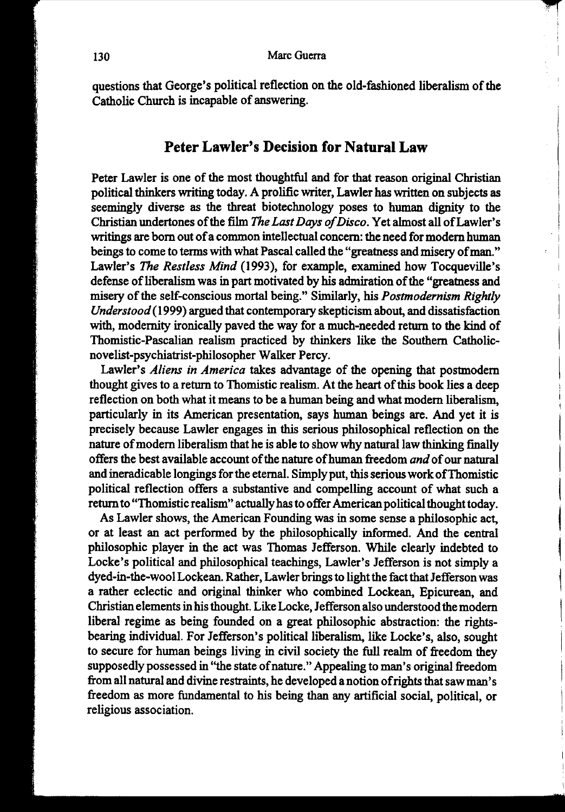questions that George's political reflection on the old-fashioned liberalism of the Catholic Church is incapable of answering.

## **Peter Lawler's Decision for Natural Law**

Peter Lawler is one of the most thoughtful and for that reason original Christian political thinkers writing today. A prolific writer, Lawler has written on subjects as seemingly diverse as the threat biotechnology poses to human dignity to the Christian undertones of the film *The Last Days of Disco.* Yet almost all ofLawler's writings are born out of a common intellectual concern: the need for modern human beings to come to terms with what Pascal called the "greatness and misery of man." Lawler's *The Restless Mind* (1993), for example, examined how Tocqueville's defense of liberalism was in part motivated by his admiration of the "greatness and misery of the self-conscious mortal being." Similarly, his *Postmodernism Rightly Understood* (1999) argued that contemporary skepticism about, and dissatisfaction with, modernity ironically paved the way for a much-needed return to the kind of Thomistic-Pascalian realism practiced by thinkers like the Southern Catholicnovelist-psychiatrist-philosopher Walker Percy.

Lawler's *Aliens in America* takes advantage of the opening that postmodern thought gives to a return to Thomistic realism. At the heart of this book lies a deep reflection on both what it means to be a human being and what modem liberalism, particularly in its American presentation, says human beings are. And yet it is precisely because Lawler engages in this serious philosophical reflection on the nature of modem liberalism that he is able to show why natural law thinking finally offers the best available account of the nature of human freedom *and* of our natural and ineradicable longings for the eternal. Simply put, this serious work ofThomistic political reflection offers a substantive and compelling account of what such a return to "Thomistic realism" actually has to offer American political thought today.<br>As Lawler shows, the American Founding was in some sense a philosophic act,

or at least an act performed by the philosophically informed. And the central philosophic player in the act was Thomas Jefferson. While clearly indebted to ~ Locke's political and philosophical teachings, Lawler's Jefferson is not simply a , dyed-in-the-wool Lockean. Rather, Lawler brings to light the fact that Jefferson was j a rather eclectic and original thinker who combined Lockean, Epicurean, and Christian elements in his thought. Like Locke, Jefferson also understood the modem 1 liberal regime as being founded on a great philosophic abstraction: the rightsbearing individual. For Jefferson's political liberalism, like Locke's, also, sought to secure for human beings living in civil society the full realm of freedom they supposedly possessed in "the state of nature." Appealing to man's original freedom from all natural and divine restraints, he developed a notion of rights that saw man's freedom as more fundamental to his being than any artificial social, political, or religious association.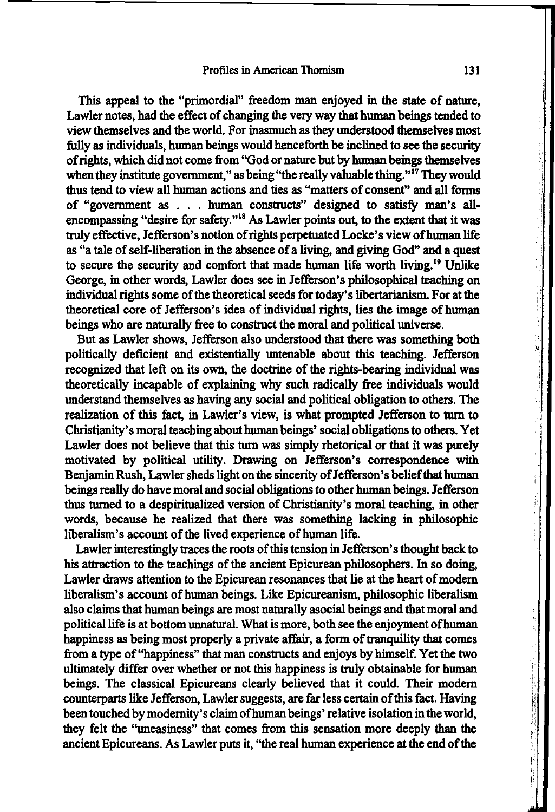This appeal to the "primordial" freedom man enjoyed in the state of nature, Lawler notes, had the effect of changing the very way that human beings tended to view themselves and the world. For inasmuch as they understood themselves most fully as individuals, human beings would henceforth be inclined to see the security of rights, which did not come from "God or nature but by human beings themselves when they institute government," as being "the really valuable thing."<sup>17</sup> They would thus tend to view all human actions and ties as "matters of consent" and all forms of "government as ... human constructs" designed to satisfy man's allencompassing "desire for safety."18 As Lawler points out, to the extent that it was truly effective, Jefferson's notion of rights perpetuated Locke's view ofhuman life as "a tale of self-liberation in the absence of a living, and giving God" and a quest to secure the security and comfort that made human life worth living. 19 Unlike George, in other words, Lawler does see in Jefferson's philosophical teaching on individual rights some of the theoretical seeds for today's libertarianism. For at the theoretical core of Jefferson's idea of individual rights, lies the image of human beings who are naturally free to construct the moral and political universe.

But as Lawler shows, Jefferson also understood that there was something both politically deficient and existentially untenable about this teaching. Jefferson recognized that left on its own, the doctrine of the rights-bearing individual was theoretically incapable of explaining why such radically free individuals would understand themselves as having any social and political obligation to others. The realization of this fact, in Lawler's view, is what prompted Jefferson to turn to Christianity's moral teaching about human beings' social obligations to others. Yet Lawler does not believe that this turn was simply rhetorical or that it was purely motivated by political utility. Drawing on Jefferson's correspondence with Benjamin Rush, Lawler sheds light on the sincerity of Jefferson's belief that human beings really do have moral and social obligations to other human beings. Jefferson thus turned to a despiritualized version of Christianity's moral teaching, in other words, because he realized that there was something lacking in philosophic liberalism's account of the lived experience of human life.

Lawler interestingly traces the roots of this tension in Jefferson's thought back to his attraction to the teachings of the ancient Epicurean philosophers. In so doing, Lawler draws attention to the Epicurean resonances that lie at the heart of modern liberalism's account of human beings. Like Epicureanism, philosophic liberalism also claims that human beings are most naturally asocial beings and that moral and political life is at bottom unnatural. What is more, both see the enjoyment ofhuman happiness as being most properly a private affair, a form of tranquility that comes from a type of "happiness" that man constructs and enjoys by himself. Yet the two ultimately differ over whether or not this happiness is truly obtainable for human beings. The classical Epicureans clearly believed that it could. Their modem counterparts like Jefferson, Lawler suggests, are far less certain of this fact. Having been touched by modernity's claim ofhuman beings' relative isolation in the world, they felt the ''uneasiness" that comes from this sensation more deeply than the ancient Epicureans. As Lawler puts it, "the real human experience at the end of the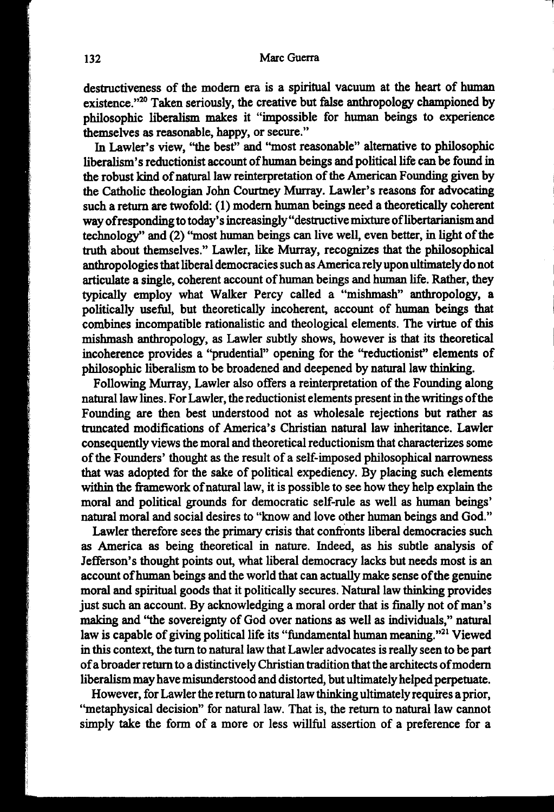destructiveness of the modem era is a spiritual vacuum at the heart of human existence."<sup>20</sup> Taken seriously, the creative but false anthropology championed by philosophic liberalism makes it "impossible for human beings to experience themselves as reasonable, happy, or secure."

In Lawler's view, "the best" and "most reasonable" alternative to philosophic liberalism's reductionist account of human beings and political life can be found in the robust kind of natural law reinterpretation of the American Founding given by the Catholic theologian John Courtney Murray. Lawler's reasons for advocating such a return are twofold: (1) modem human beings need a theoretically coherent way of responding to today's increasingly "destructive mixture of libertarianism and technology'' and (2) ''most human beings can live well, even better, in light of the truth about themselves." Lawler, like Murray, recognizes that the philosophical anthropologies that liberal democracies such as America rely upon ultimately do not articulate a single, coherent account of human beings and human life. Rather, they typically employ what Walker Percy called a "mishmash" anthropology, a politically useful, but theoretically incoherent, account of human beings that combines incompatible rationalistic and theological elements. The virtue of this mishmash anthropology, as Lawler subtly shows, however is that its theoretical incoherence provides a ''prudential" opening for the "reductionist" elements of philosophic liberalism to be broadened and deepened by natural law thinking.

Following Murray, Lawler also offers a reinterpretation of the Founding along natural law lines. For Lawler, the reductionist elements present in the writings of the Founding are then best understood not as wholesale rejections but rather as truncated modifications of America's Christian natural law inheritance. Lawler consequently views the moral and theoretical reductionism that characterizes some of the Founders' thought as the result of a self-imposed philosophical narrowness that was adopted for the sake of political expediency. By placing such elements within the framework of natural law, it is possible to see how they help explain the moral and political grounds for democratic self-rule as well as human beings' natural moral and social desires to "know and love other human beings and God."

Lawler therefore sees the primary crisis that confronts liberal democracies such as America as being theoretical in nature. Indeed, as his subtle analysis of Jefferson's thought points out, what liberal democracy lacks but needs most is an account of human beings and the world that can actually make sense of the genuine moral and spiritual goods that it politically secures. Natural law thinking provides just such an account. By acknowledging a moral order that is finally not of man's making and ''the sovereignty of God over nations as well as individuals," natural law is capable of giving political life its "fundamental human meaning."<sup>21</sup> Viewed in this context, the tum to natural law that Lawler advocates is really seen to be part of a broader return to a distinctively Christian tradition that the architects of modem liberalism may have misunderstood and distorted, but ultimately helped perpetuate.

However, for Lawler the return to natural law thinking ultimately requires a prior, ''metaphysical decision" for natural law. That is, the return to natural law cannot simply take the form of a more or less willful assertion of a preference for a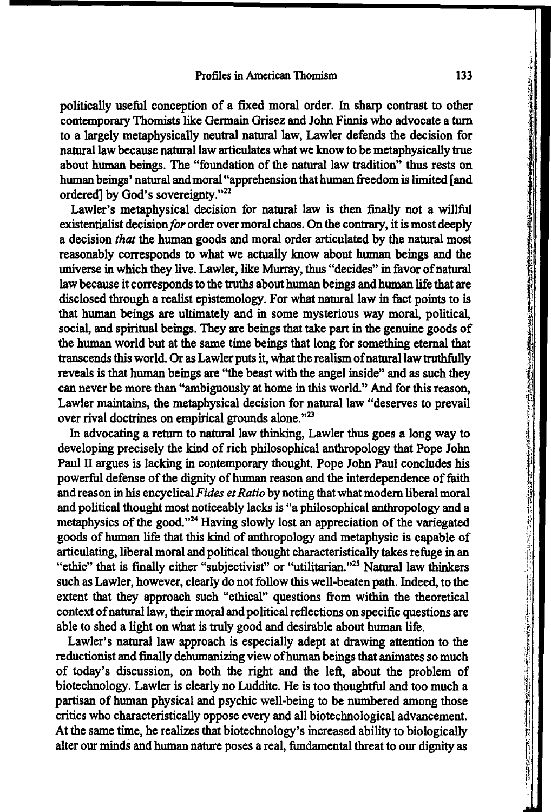politically useful conception of a fixed moral order. In sharp contrast to other contemporary Thomists like Germain Grisez and John Finnis who advocate a tum to a largely metaphysically neutral natural law, Lawler defends the decision for natural law because natural law articulates what we know to be metaphysically true about human beings. The "foundation of the natural law tradition" thus rests on human beings' natural and moral "apprehension that human freedom is limited [and ordered] by God's sovereignty."22

Lawler's metaphysical decision for natural law is then finally not a willful existentialist decision for order over moral chaos. On the contrary, it is most deeply a decision *that* the human goods and moral order articulated by the natural most reasonably corresponds to what we actually know about human beings and the universe in which they live. Lawler, like Murray, thus "decides" in favor of natural law because it corresponds to the truths about human beings and human life that are disclosed through a realist epistemology. For what natural law in fact points to is that human beings are ultimately and in some mysterious way moral, political, social, and spiritual beings. They are beings that take part in the genuine goods of the human world but at the same time beings that long for something eternal that transcends this world. Or as Lawler puts it, what the realism ofnatural law truthfully reveals is that human beings are "the beast with the angel inside" and as such they can never be more than "ambiguously at home in this world." And for this reason, Lawler maintains, the metaphysical decision for natural law "deserves to prevail over rival doctrines on empirical grounds alone."<sup>23</sup>

In advocating a return to natural law thinking, Lawler thus goes a long way to developing precisely the kind of rich philosophical anthropology that Pope John Paul II argues is lacking in contemporary thought. Pope John Paul concludes his powerful defense of the dignity of human reason and the interdependence of faith and reason in his encyclical Fides et Ratio by noting that what modern liberal moral and political thought most noticeably lacks is "a philosophical anthropology and a metaphysics of the good."24 Having slowly lost an appreciation of the variegated goods of human life that this kind of anthropology and metaphysic is capable of articulating, liberal moral and political thought characteristically takes refuge in an "ethic" that is finally either "subjectivist" or "utilitarian."<sup>25</sup> Natural law thinkers such as Lawler, however, clearly do not follow this well-beaten path. Indeed, to the extent that they approach such "ethical" questions from within the theoretical context ofnatural law, their moral and political reflections on specific questions are able to shed a light on what is truly good and desirable about human life.

Lawler's natural law approach is especially adept at drawing attention to the reductionist and finally dehumanizing view ofhuman beings that animates so much of today's discussion, on both the right and the left, about the problem of biotechnology. Lawler is clearly no Luddite. He is too thoughtful and too much a partisan of human physical and psychic well-being to be numbered among those critics who characteristically oppose every and all biotechnological advancement. At the same time, he realizes that biotechnology's increased ability to biologically alter our minds and human nature poses a real, fundamental threat to our dignity as

)1 :~.ii 'i' .~i

-,1

i manakatan sebuah sebuah kecamatan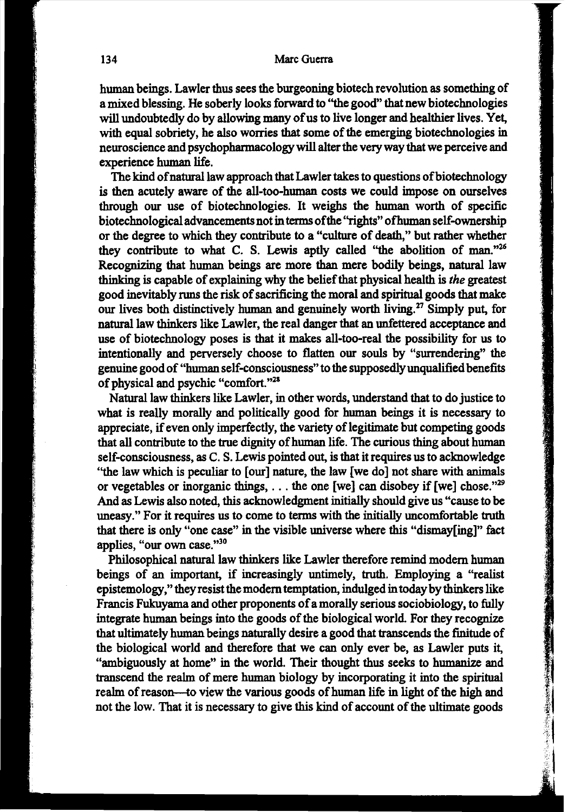human beings. Lawler thus sees the burgeoning biotech revolution as something of a mixed blessing. He soberly looks forward to ''the good" that new biotechnologies will undoubtedly do by allowing many of us to live longer and healthier lives. Yet, with equal sobriety, he also worries that some of the emerging biotechnologies in neuroscience and psychopharmacology will alter the very way that we perceive and experience human life.

The kind of natural law approach that Lawler takes to questions of biotechnology is then acutely aware of the all-too-human costs we could impose on ourselves through our use of biotechnologies. It weighs the human worth of specific biotechnological advancements not in terms of the "rights" ofhuman self-ownership or the degree to which they contribute to a "culture of death," but rather whether they contribute to what C. S. Lewis aptly called "the abolition of man."<sup>26</sup> Recognizing that human beings are more than mere bodily beings, natural law thinking is capable of explaining why the belief that physical health is *the* greatest good inevitably runs the risk of sacrificing the moral and spiritual goods that make our lives both distinctively human and genuinely worth living.<sup>27</sup> Simply put, for natural law thinkers like Lawler, the real danger that an unfettered acceptance and use of biotechnology poses is that it makes all-too-real the possibility for us to intentionally and perversely choose to flatten our souls by "surrendering" the genuine good of "human self-consciousness" to the supposedly unqualified benefits of physical and psychic "comfort."28

Natural law thinkers like Lawler, in other words, understand that to do justice to what is really morally and politically good for human beings it is necessary to appreciate, if even only imperfectly, the variety of legitimate but competing goods that all contribute to the true dignity of human life. The curious thing about human self-consciousness, as C. S. Lewis pointed out, is that it requires us to acknowledge ''the law which is peculiar to [our] nature, the law [we do] not share with animals or vegetables or inorganic things,  $\dots$  the one [we] can disobey if [we] chose."<sup>29</sup> And as Lewis also noted, this acknowledgment initially should give us "cause to be uneasy." For it requires us to come to terms with the initially uncomfortable truth that there is only "one case" in the visible universe where this "dismay[ing]" fact applies, "our own case."<sup>30</sup>

Philosophical natural law thinkers like Lawler therefore remind modem human beings of an important, if increasingly untimely, truth. Employing a "realist epistemology," they resist the modem temptation, indulged in today by thinkers like Francis Fukuyama and other proponents of a morally serious sociobiology, to fully integrate human beings into the goods of the biological world. For they recognize that ultimately human beings naturally desire a good that transcends the finitude of the biological world and therefore that we can only ever be, as Lawler puts it, "ambiguously at home" in the world. Their thought thus seeks to humanize and transcend the realm of mere human biology by incorporating it into the spiritual realm of reason-to view the various goods of human life in light of the high and not the low. That it is necessary to give this kind of account of the ultimate goods

● 「大学のことを、そのことを、そのことを、そのことを、そのことを、そのことを、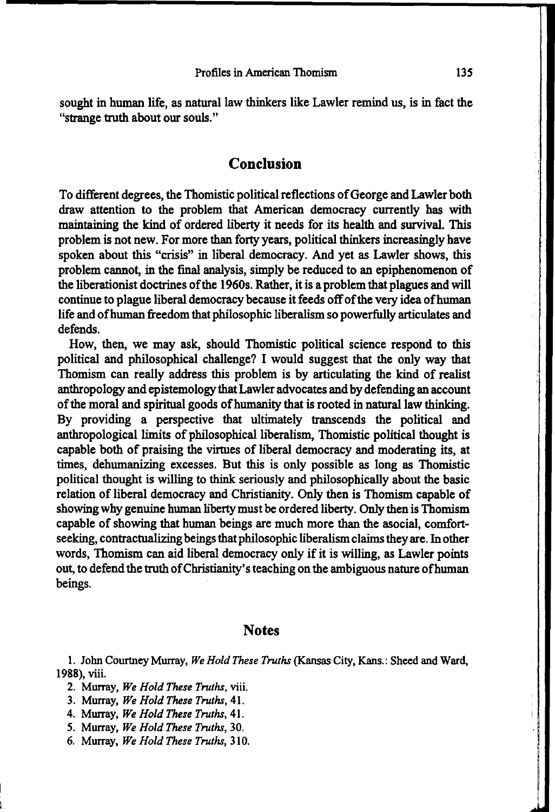sought in human life, as natural law thinkers like Lawler remind us, is in fact the "strange truth about our souls."

### **Conclusion**

To different degrees, the Thomistic political reflections of George and Lawler both draw attention to the problem that American democracy currently has with maintaining the kind of ordered liberty it needs for its health and survival. This problem is not new. For more than forty years, political thinkers increasingly have spoken about this "crisis" in liberal democracy. And yet as Lawler shows, this problem cannot, in the final analysis, simply be reduced to an epiphenomenon of the liberationist doctrines of the 1960s. Rather, it is a problem that plagues and will continue to plague liberal democracy because it feeds off of the very idea of human life and ofhuman freedom that philosophic liberalism so powerfully articulates and defends.

How, then, we may ask, should Thomistic political science respond to this political and philosophical challenge? I would suggest that the only way that Thomism can really address this problem is by articulating the kind of realist anthropology and epistemology that Lawler advocates and by defending an account of the moral and spiritual goods of humanity that is rooted in natural law thinking. By providing a perspective that ultimately transcends the political and anthropological limits of philosophical liberalism, Thomistic political thought is capable both of praising the virtues of liberal democracy and moderating its, at times, dehumanizing excesses. But this is only possible as long as Thomistic political thought is willing to think seriously and philosophically about the basic relation of liberal democracy and Christianity. Only then is Thomism capable of showing why genuine human liberty must be ordered liberty. Only then is Thomism capable of showing that human beings are much more than the asocial, comfortseeking, contractualizing beings that philosophic liberalism claims they are. In other words, Thomism can aid liberal democracy only if it is willing, as Lawler points out, to defend the truth of Christianity's teaching on the ambiguous nature of human beings.

### **Notes**

1. John Courtney Murray, *We Hold These Truths* (Kansas City, Kans.: Sheed and Ward, 1988), viii.

- 4. Murray, *We Hold These Truths,* 41.
- 5. Murray, *We Hold These Truths,* 30.
- 6. Murray, *We Hold These Truths,* 310.

<sup>2.</sup> Murray, *We Hold These Truths,* viii.

<sup>3.</sup> Murray, *We Hold These Truths,* 41.